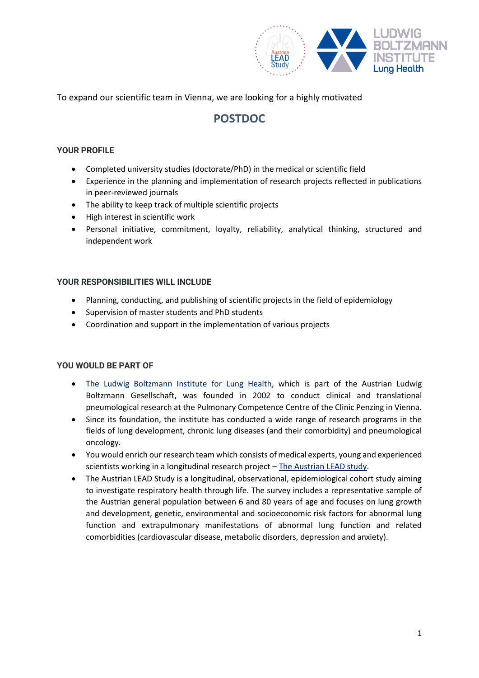

To expand our scientific team in Vienna, we are looking for a highly motivated

# **POSTDOC**

# **YOUR PROFILE**

- Completed university studies (doctorate/PhD) in the medical or scientific field
- Experience in the planning and implementation of research projects reflected in publications in peer-reviewed journals
- The ability to keep track of multiple scientific projects
- High interest in scientific work
- Personal initiative, commitment, loyalty, reliability, analytical thinking, structured and independent work

## **YOUR RESPONSIBILITIES WILL INCLUDE**

- Planning, conducting, and publishing of scientific projects in the field of epidemiology
- Supervision of master students and PhD students
- Coordination and support in the implementation of various projects

## **YOU WOULD BE PART OF**

- [The Ludwig Boltzmann Institute for Lung Health,](https://lunghealth.lbg.ac.at/) which is part of the Austrian Ludwig Boltzmann Gesellschaft, was founded in 2002 to conduct clinical and translational pneumological research at the Pulmonary Competence Centre of the Clinic Penzing in Vienna.
- Since its foundation, the institute has conducted a wide range of research programs in the fields of lung development, chronic lung diseases (and their comorbidity) and pneumological oncology.
- You would enrich our research team which consists of medical experts, young and experienced scientists working in a longitudinal research project – [The Austrian LEAD study.](http://www.leadstudy.at/)
- The Austrian LEAD Study is a longitudinal, observational, epidemiological cohort study aiming to investigate respiratory health through life. The survey includes a representative sample of the Austrian general population between 6 and 80 years of age and focuses on lung growth and development, genetic, environmental and socioeconomic risk factors for abnormal lung function and extrapulmonary manifestations of abnormal lung function and related comorbidities (cardiovascular disease, metabolic disorders, depression and anxiety).